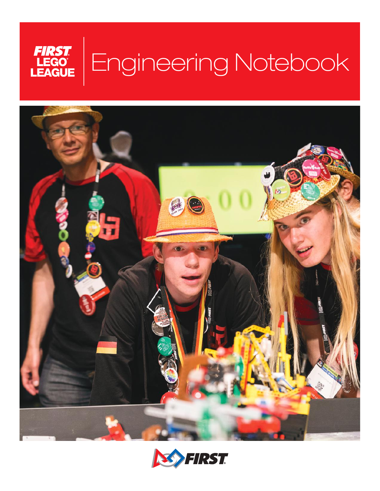



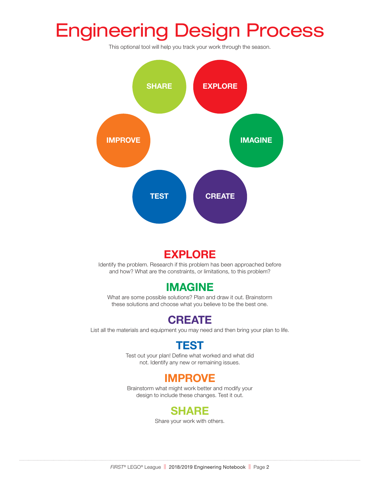## Engineering Design Process

This optional tool will help you track your work through the season.



## **EXPLORE**

Identify the problem. Research if this problem has been approached before and how? What are the constraints, or limitations, to this problem?

### **IMAGINE**

What are some possible solutions? Plan and draw it out. Brainstorm these solutions and choose what you believe to be the best one.

## **CREATE**

List all the materials and equipment you may need and then bring your plan to life.

### **TEST**

Test out your plan! Define what worked and what did not. Identify any new or remaining issues.

### **IMPROVE**

Brainstorm what might work better and modify your design to include these changes. Test it out.

### **SHARE**

Share your work with others.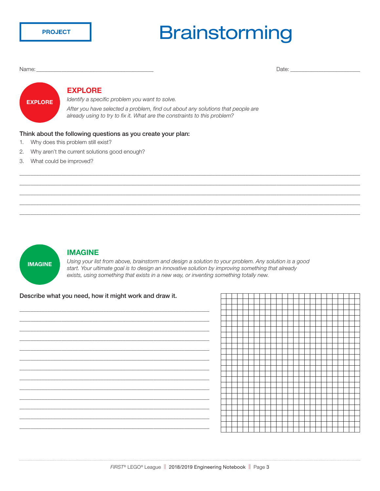**PROJECT** 

## **Brainstorming**

Name: \_\_\_\_\_\_\_\_\_\_\_\_\_\_\_\_\_\_\_\_\_\_\_\_\_\_\_\_\_\_\_\_\_\_\_\_\_\_\_\_\_\_ Date: \_\_\_\_\_\_\_\_\_\_\_\_\_\_\_\_\_\_\_\_\_\_\_\_\_

## **EXPLORE**

#### **EXPLORE**

*Identify a specific problem you want to solve.*

*After you have selected a problem, find out about any solutions that people are already using to try to fix it. What are the constraints to this problem?*

#### Think about the following questions as you create your plan:

- 1. Why does this problem still exist?
- 2. Why aren't the current solutions good enough?
- 3. What could be improved?



#### **IMAGINE**

*Using your list from above, brainstorm and design a solution to your problem. Any solution is a good start. Your ultimate goal is to design an innovative solution by improving something that already exists, using something that exists in a new way, or inventing something totally new.* 

\_\_\_\_\_\_\_\_\_\_\_\_\_\_\_\_\_\_\_\_\_\_\_\_\_\_\_\_\_\_\_\_\_\_\_\_\_\_\_\_\_\_\_\_\_\_\_\_\_\_\_\_\_\_\_\_\_\_\_\_\_\_\_\_\_\_\_\_\_\_\_\_\_\_\_\_\_\_\_\_\_\_\_\_\_\_\_\_\_\_\_\_\_\_\_\_\_\_\_\_\_\_\_\_\_\_\_\_\_\_\_\_\_\_\_\_\_\_\_\_\_\_ \_\_\_\_\_\_\_\_\_\_\_\_\_\_\_\_\_\_\_\_\_\_\_\_\_\_\_\_\_\_\_\_\_\_\_\_\_\_\_\_\_\_\_\_\_\_\_\_\_\_\_\_\_\_\_\_\_\_\_\_\_\_\_\_\_\_\_\_\_\_\_\_\_\_\_\_\_\_\_\_\_\_\_\_\_\_\_\_\_\_\_\_\_\_\_\_\_\_\_\_\_\_\_\_\_\_\_\_\_\_\_\_\_\_\_\_\_\_\_\_\_\_ \_\_\_\_\_\_\_\_\_\_\_\_\_\_\_\_\_\_\_\_\_\_\_\_\_\_\_\_\_\_\_\_\_\_\_\_\_\_\_\_\_\_\_\_\_\_\_\_\_\_\_\_\_\_\_\_\_\_\_\_\_\_\_\_\_\_\_\_\_\_\_\_\_\_\_\_\_\_\_\_\_\_\_\_\_\_\_\_\_\_\_\_\_\_\_\_\_\_\_\_\_\_\_\_\_\_\_\_\_\_\_\_\_\_\_\_\_\_\_\_\_\_ \_\_\_\_\_\_\_\_\_\_\_\_\_\_\_\_\_\_\_\_\_\_\_\_\_\_\_\_\_\_\_\_\_\_\_\_\_\_\_\_\_\_\_\_\_\_\_\_\_\_\_\_\_\_\_\_\_\_\_\_\_\_\_\_\_\_\_\_\_\_\_\_\_\_\_\_\_\_\_\_\_\_\_\_\_\_\_\_\_\_\_\_\_\_\_\_\_\_\_\_\_\_\_\_\_\_\_\_\_\_\_\_\_\_\_\_\_\_\_\_\_\_ \_\_\_\_\_\_\_\_\_\_\_\_\_\_\_\_\_\_\_\_\_\_\_\_\_\_\_\_\_\_\_\_\_\_\_\_\_\_\_\_\_\_\_\_\_\_\_\_\_\_\_\_\_\_\_\_\_\_\_\_\_\_\_\_\_\_\_\_\_\_\_\_\_\_\_\_\_\_\_\_\_\_\_\_\_\_\_\_\_\_\_\_\_\_\_\_\_\_\_\_\_\_\_\_\_\_\_\_\_\_\_\_\_\_\_\_\_\_\_\_\_\_

#### Describe what you need, how it might work and draw it.

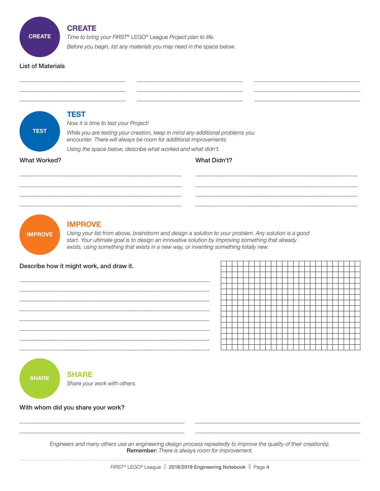#### **CREATE**

*Time to bring your FIRST®* LEGO*®* League *Project plan to life.*

*Before you begin, list any materials you may need in the space below.*

#### List of Materials

**CREATE**





\_\_\_\_\_\_\_\_\_\_\_\_\_\_\_\_\_\_\_\_\_\_\_\_\_\_\_\_\_\_\_\_\_\_\_\_\_\_\_\_\_\_\_\_\_\_\_\_\_\_\_\_\_\_\_\_\_\_\_\_\_\_\_\_\_\_\_\_ \_\_\_\_\_\_\_\_\_\_\_\_\_\_\_\_\_\_\_\_\_\_\_\_\_\_\_\_\_\_\_\_\_\_\_\_\_\_\_\_\_\_\_\_\_\_\_\_\_\_\_\_\_\_\_\_\_\_\_\_\_\_\_\_\_\_\_\_

#### With whom did you share your work?

*Engineers and many others use an engineering design process repeatedly to improve the quality of their creation(s).*  Remember: *There is always room for improvement.*

 $\_$  , and the set of the set of the set of the set of the set of the set of the set of the set of the set of the set of the set of the set of the set of the set of the set of the set of the set of the set of the set of th  $\Box$  . The contribution of the contribution of the contribution of the contribution of the contribution of the contribution of the contribution of the contribution of the contribution of the contribution of the contributi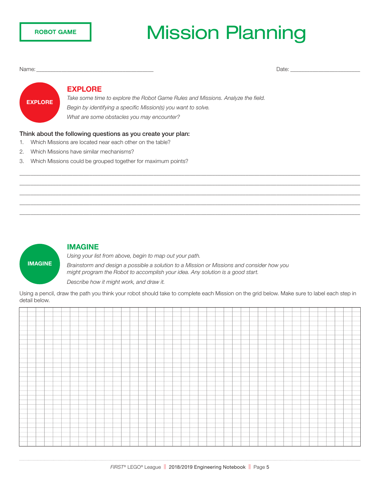## Mission Planning

Name: \_\_\_\_\_\_\_\_\_\_\_\_\_\_\_\_\_\_\_\_\_\_\_\_\_\_\_\_\_\_\_\_\_\_\_\_\_\_\_\_\_\_ Date: \_\_\_\_\_\_\_\_\_\_\_\_\_\_\_\_\_\_\_\_\_\_\_\_\_

# **EXPLORE**

#### **EXPLORE**

*Take some time to explore the Robot Game Rules and Missions. Analyze the field. Begin by identifying a specific Mission(s) you want to solve. What are some obstacles you may encounter?*

#### Think about the following questions as you create your plan:

- 1. Which Missions are located near each other on the table?
- 2. Which Missions have similar mechanisms?
- 3. Which Missions could be grouped together for maximum points?



#### **IMAGINE**

*Using your list from above, begin to map out your path.*

*Brainstorm and design a possible a solution to a Mission or Missions and consider how you might program the Robot to accomplish your idea. Any solution is a good start. Describe how it might work, and draw it.*

Using a pencil, draw the path you think your robot should take to complete each Mission on the grid below. Make sure to label each step in detail below.

\_\_\_\_\_\_\_\_\_\_\_\_\_\_\_\_\_\_\_\_\_\_\_\_\_\_\_\_\_\_\_\_\_\_\_\_\_\_\_\_\_\_\_\_\_\_\_\_\_\_\_\_\_\_\_\_\_\_\_\_\_\_\_\_\_\_\_\_\_\_\_\_\_\_\_\_\_\_\_\_\_\_\_\_\_\_\_\_\_\_\_\_\_\_\_\_\_\_\_\_\_\_\_\_\_\_\_\_\_\_\_\_\_\_\_\_\_\_\_\_\_\_ \_\_\_\_\_\_\_\_\_\_\_\_\_\_\_\_\_\_\_\_\_\_\_\_\_\_\_\_\_\_\_\_\_\_\_\_\_\_\_\_\_\_\_\_\_\_\_\_\_\_\_\_\_\_\_\_\_\_\_\_\_\_\_\_\_\_\_\_\_\_\_\_\_\_\_\_\_\_\_\_\_\_\_\_\_\_\_\_\_\_\_\_\_\_\_\_\_\_\_\_\_\_\_\_\_\_\_\_\_\_\_\_\_\_\_\_\_\_\_\_\_\_ \_\_\_\_\_\_\_\_\_\_\_\_\_\_\_\_\_\_\_\_\_\_\_\_\_\_\_\_\_\_\_\_\_\_\_\_\_\_\_\_\_\_\_\_\_\_\_\_\_\_\_\_\_\_\_\_\_\_\_\_\_\_\_\_\_\_\_\_\_\_\_\_\_\_\_\_\_\_\_\_\_\_\_\_\_\_\_\_\_\_\_\_\_\_\_\_\_\_\_\_\_\_\_\_\_\_\_\_\_\_\_\_\_\_\_\_\_\_\_\_\_\_ \_\_\_\_\_\_\_\_\_\_\_\_\_\_\_\_\_\_\_\_\_\_\_\_\_\_\_\_\_\_\_\_\_\_\_\_\_\_\_\_\_\_\_\_\_\_\_\_\_\_\_\_\_\_\_\_\_\_\_\_\_\_\_\_\_\_\_\_\_\_\_\_\_\_\_\_\_\_\_\_\_\_\_\_\_\_\_\_\_\_\_\_\_\_\_\_\_\_\_\_\_\_\_\_\_\_\_\_\_\_\_\_\_\_\_\_\_\_\_\_\_\_ \_\_\_\_\_\_\_\_\_\_\_\_\_\_\_\_\_\_\_\_\_\_\_\_\_\_\_\_\_\_\_\_\_\_\_\_\_\_\_\_\_\_\_\_\_\_\_\_\_\_\_\_\_\_\_\_\_\_\_\_\_\_\_\_\_\_\_\_\_\_\_\_\_\_\_\_\_\_\_\_\_\_\_\_\_\_\_\_\_\_\_\_\_\_\_\_\_\_\_\_\_\_\_\_\_\_\_\_\_\_\_\_\_\_\_\_\_\_\_\_\_\_

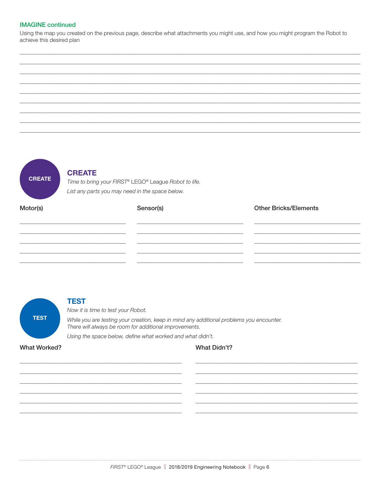#### **IMAGINE** continued

Using the map you created on the previous page, describe what attachments you might use, and how you might program the Robot to achieve this desired plan



#### **CREATE**

Time to bring your FIRST® LEGO® League Robot to life. List any parts you may need in the space below.

| Motor(s) | Sensor(s) | <b>Other Bricks/Elements</b> |
|----------|-----------|------------------------------|
|          |           |                              |
|          |           |                              |
|          |           |                              |
|          |           |                              |



#### **TEST**

Now it is time to test your Robot.

While you are testing your creation, keep in mind any additional problems you encounter. There will always be room for additional improvements.

Using the space below, define what worked and what didn't.

**What Worked?** 

#### **What Didn't?**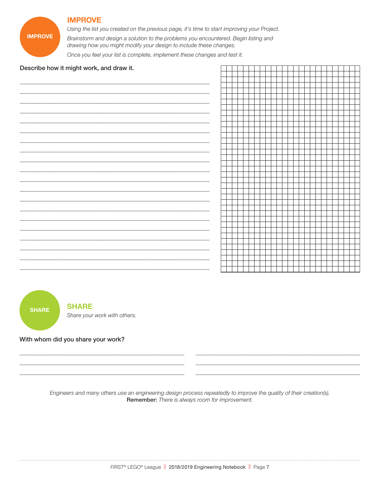#### **IMPROVE**

Using the list you created on the previous page, it's time to start improving your Project.

Brainstorm and design a solution to the problems you encountered. Begin listing and drawing how you might modify your design to include these changes.

Once you feel your list is complete, implement these changes and test it.

#### Describe how it might work, and draw it.

**IMPROVE** 



With whom did you share your work?

Engineers and many others use an engineering design process repeatedly to improve the quality of their creation(s). Remember: There is always room for improvement.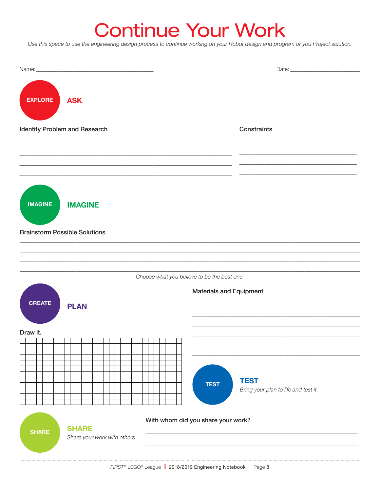## **Continue Your Work**

Use this space to use the engineering design process to continue working on your Robot design and program or you Project solution.

| <b>EXPLORE</b>                       | <b>ASK</b>                                   |                                             |                                                     |
|--------------------------------------|----------------------------------------------|---------------------------------------------|-----------------------------------------------------|
| Identify Problem and Research        |                                              |                                             | Constraints                                         |
|                                      |                                              |                                             |                                                     |
| <b>IMAGINE</b>                       | <b>IMAGINE</b>                               |                                             |                                                     |
| <b>Brainstorm Possible Solutions</b> |                                              |                                             |                                                     |
|                                      |                                              | Choose what you believe to be the best one. |                                                     |
| <b>CREATE</b>                        | <b>PLAN</b>                                  | <b>Materials and Equipment</b>              |                                                     |
| Draw it.                             |                                              | <b>TEST</b>                                 | <b>TEST</b><br>Bring your plan to life and test it. |
| <b>SHARE</b>                         | <b>SHARE</b><br>Share your work with others. | With whom did you share your work?          |                                                     |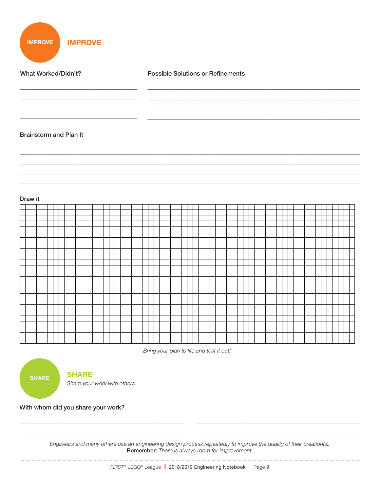**IMPROVE IMPROVE** 

What Worked/Didn't? **Possible Solutions or Refinements Brainstorm and Plan It** 



Bring your plan to life and test it out!

**SHARE** 

#### **SHARE**

Share your work with others.

With whom did you share your work?

Engineers and many others use an engineering design process repeatedly to improve the quality of their creation(s). Remember: There is always room for improvement.